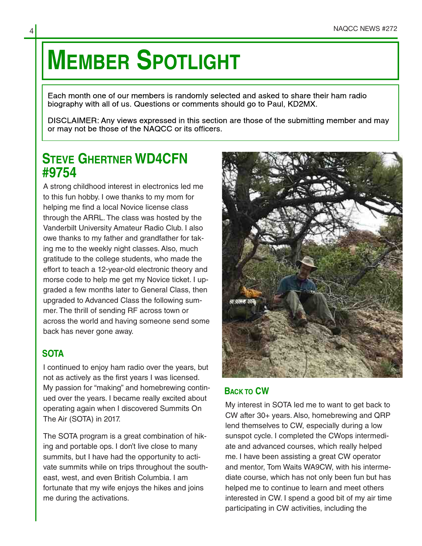## **MEMBER SPOTLIGHT**

Each month one of our members is randomly selected and asked to share their ham radio biography with all of us. Questions or comments should go to Paul, KD2MX.

DISCLAIMER: Any views expressed in this section are those of the submitting member and may or may not be those of the NAQCC or its officers.

## **STEVE GHERTNER WD4CFN #9754**

A strong childhood interest in electronics led me to this fun hobby. I owe thanks to my mom for helping me find a local Novice license class through the ARRL. The class was hosted by the Vanderbilt University Amateur Radio Club. I also owe thanks to my father and grandfather for tak‐ ing me to the weekly night classes. Also, much gratitude to the college students, who made the effort to teach a 12-year-old electronic theory and morse code to help me get my Novice ticket. I up‐ graded a few months later to General Class, then upgraded to Advanced Class the following sum‐ mer. The thrill of sending RF across town or across the world and having someone send some back has never gone away.

## **SOTA**

I continued to enjoy ham radio over the years, but not as actively as the first years I was licensed. My passion for "making" and homebrewing contin‐ ued over the years. I became really excited about operating again when I discovered Summits On The Air (SOTA) in 2017.

The SOTA program is a great combination of hik‐ ing and portable ops. I don't live close to many summits, but I have had the opportunity to acti‐ vate summits while on trips throughout the south‐ east, west, and even British Columbia. I am fortunate that my wife enjoys the hikes and joins me during the activations.



## **BACK TO CW**

My interest in SOTA led me to want to get back to CW after 30+ years. Also, homebrewing and QRP lend themselves to CW, especially during a low sunspot cycle. I completed the CWops intermedi‐ ate and advanced courses, which really helped me. I have been assisting a great CW operator and mentor, Tom Waits WA9CW, with his interme‐ diate course, which has not only been fun but has helped me to continue to learn and meet others interested in CW. I spend a good bit of my air time participating in CW activities, including the